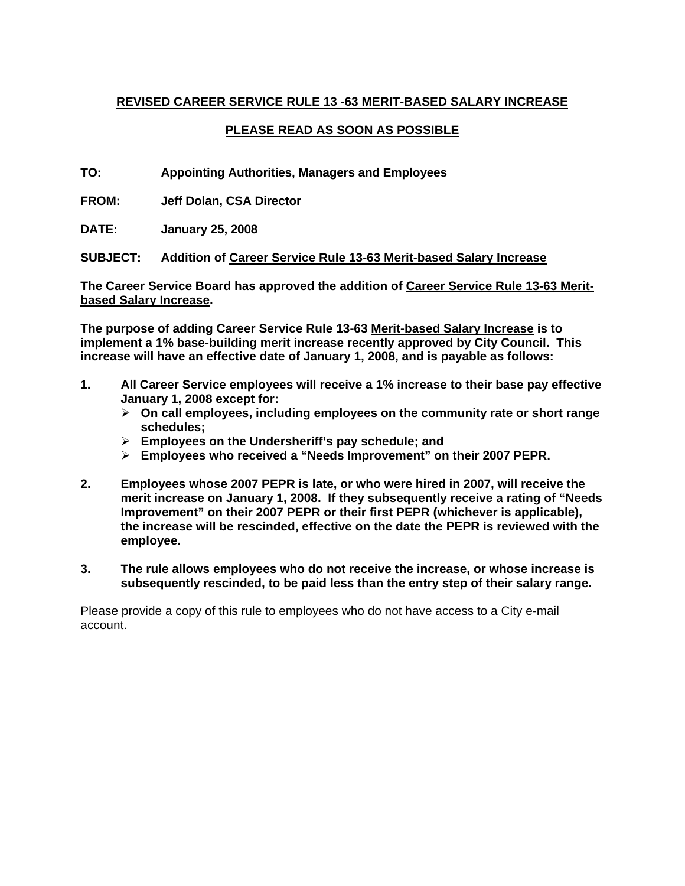# **REVISED CAREER SERVICE RULE 13 -63 MERIT-BASED SALARY INCREASE**

# **PLEASE READ AS SOON AS POSSIBLE**

**TO: Appointing Authorities, Managers and Employees** 

**FROM: Jeff Dolan, CSA Director** 

**DATE: January 25, 2008** 

**SUBJECT: Addition of Career Service Rule 13-63 Merit-based Salary Increase**

**The Career Service Board has approved the addition of Career Service Rule 13-63 Meritbased Salary Increase.** 

**The purpose of adding Career Service Rule 13-63 Merit-based Salary Increase is to implement a 1% base-building merit increase recently approved by City Council. This increase will have an effective date of January 1, 2008, and is payable as follows:** 

- **1. All Career Service employees will receive a 1% increase to their base pay effective January 1, 2008 except for:** 
	- ¾ **On call employees, including employees on the community rate or short range schedules;**
	- ¾ **Employees on the Undersheriff's pay schedule; and**
	- ¾ **Employees who received a "Needs Improvement" on their 2007 PEPR.**
- **2. Employees whose 2007 PEPR is late, or who were hired in 2007, will receive the merit increase on January 1, 2008. If they subsequently receive a rating of "Needs Improvement" on their 2007 PEPR or their first PEPR (whichever is applicable), the increase will be rescinded, effective on the date the PEPR is reviewed with the employee.**
- **3. The rule allows employees who do not receive the increase, or whose increase is subsequently rescinded, to be paid less than the entry step of their salary range.**

Please provide a copy of this rule to employees who do not have access to a City e-mail account.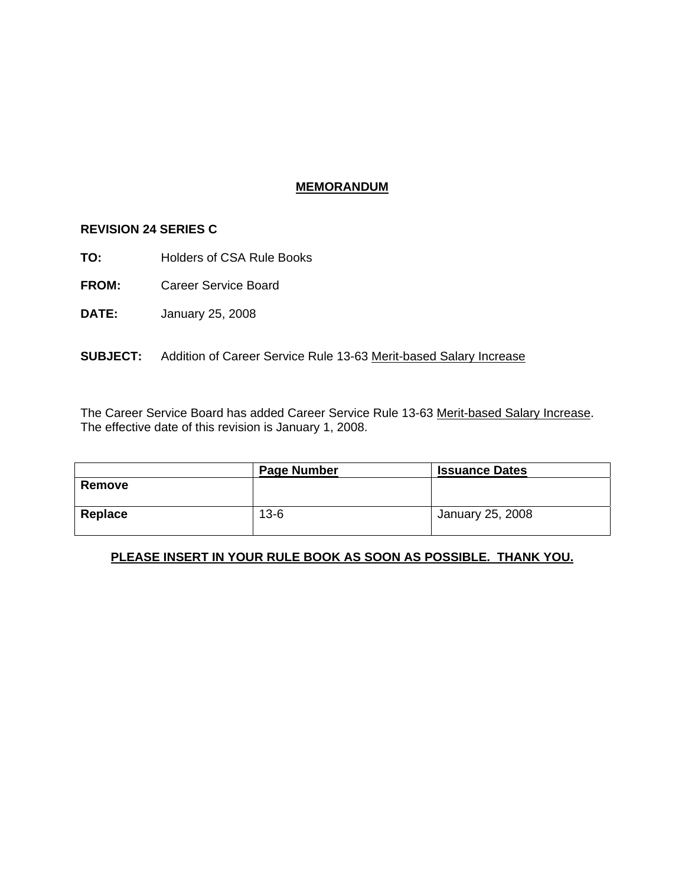## **MEMORANDUM**

#### **REVISION 24 SERIES C**

- **TO:** Holders of CSA Rule Books
- **FROM:** Career Service Board
- **DATE:** January 25, 2008

#### **SUBJECT:** Addition of Career Service Rule 13-63 Merit-based Salary Increase

The Career Service Board has added Career Service Rule 13-63 Merit-based Salary Increase. The effective date of this revision is January 1, 2008.

|         | <b>Page Number</b> | <b>Issuance Dates</b> |
|---------|--------------------|-----------------------|
| Remove  |                    |                       |
| Replace | $13 - 6$           | January 25, 2008      |

## **PLEASE INSERT IN YOUR RULE BOOK AS SOON AS POSSIBLE. THANK YOU.**